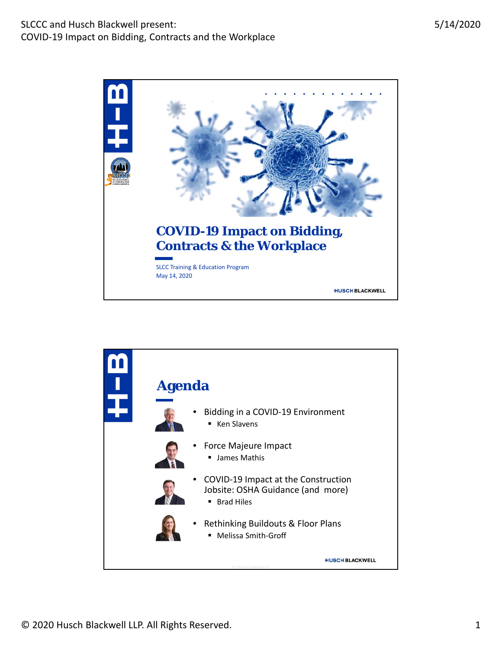

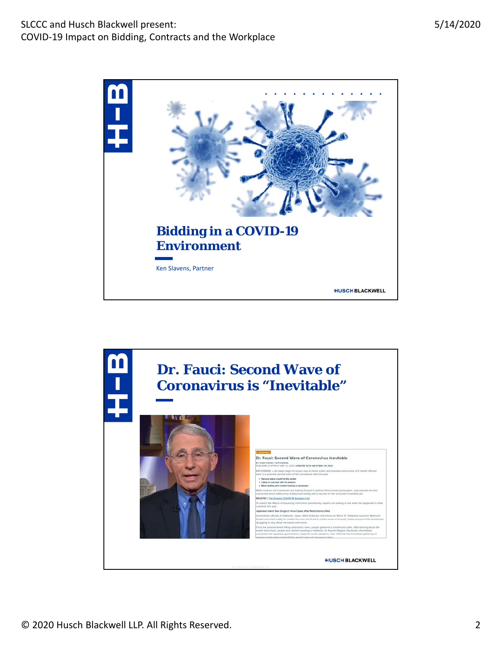

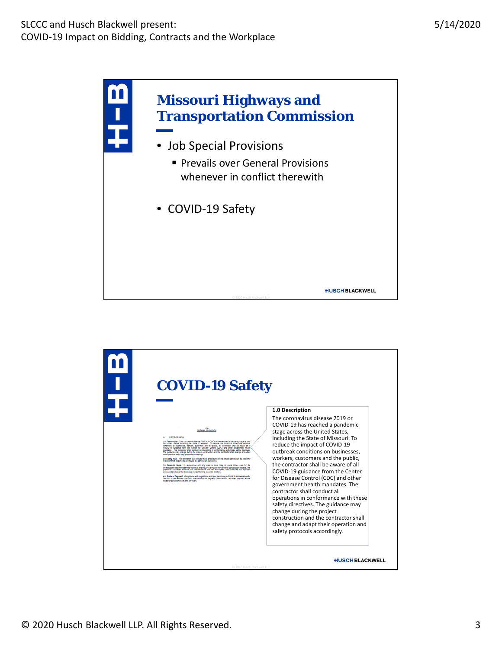

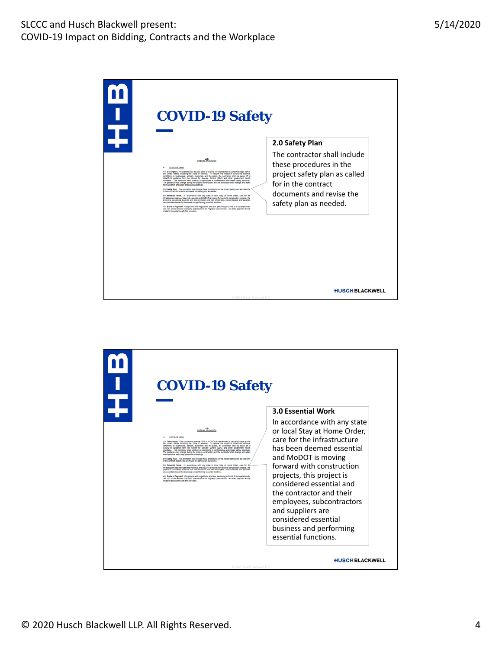| <b>COVID-19 Safety</b>                                                                                                                                                                                                                                                                                                                                                                                                                                                                                                                                                                                                                                                                                                                                                                                                                                                                                                                                                                                                                                                                                                                                                                                                                                                                                                                                                                                                                                                                                         |                                                                                                                                                                       |
|----------------------------------------------------------------------------------------------------------------------------------------------------------------------------------------------------------------------------------------------------------------------------------------------------------------------------------------------------------------------------------------------------------------------------------------------------------------------------------------------------------------------------------------------------------------------------------------------------------------------------------------------------------------------------------------------------------------------------------------------------------------------------------------------------------------------------------------------------------------------------------------------------------------------------------------------------------------------------------------------------------------------------------------------------------------------------------------------------------------------------------------------------------------------------------------------------------------------------------------------------------------------------------------------------------------------------------------------------------------------------------------------------------------------------------------------------------------------------------------------------------------|-----------------------------------------------------------------------------------------------------------------------------------------------------------------------|
|                                                                                                                                                                                                                                                                                                                                                                                                                                                                                                                                                                                                                                                                                                                                                                                                                                                                                                                                                                                                                                                                                                                                                                                                                                                                                                                                                                                                                                                                                                                | 2.0 Safety Plan                                                                                                                                                       |
| 00000-19.22902<br>1.6 Description. The coronavirus disease 2019 or COVID-19 has reached a pandemic stage across<br>the United States, including the State of Missouri. To reduce the impact of COVID-19 outbreak<br>conditions on businesses, workers, customers and the public, the contractor shall be aware of all<br>COVID-19 guitance from the Center for Disease Corinic (CDC) and other government health<br>mandates. The contractor shall conduct all operations in conformance with these safety directives.<br>The guidance may change during the project construction and the contractor shall change and adapt<br>thair coarpine and safety protocols accordingly.<br>2.0 Safety Plan. The contractor shall include these procedures in the project safety plan as called for<br>In the contract documents and revise the safety plan as needed.<br>5.6 Essential Work. In accordance with any state or local Stay at Home Order, care for the<br>Infrastructure has been deemed essential and MISOTT is moving foreard with construction projects, this<br>protect is considered essential and the contractor and their employees, subcontractors and suppliers<br>are considered essential business and performing essential functions.<br>4.0 Basis of Payment. Complance with regulations and laws perfaining to Covid 15 is covered under<br>Sec 107 of the Missouri Standard Specifications for Highway Construction. No direct payment will be<br>made for compliance with this provision. | The contractor shall include<br>these procedures in the<br>project safety plan as called<br>for in the contract<br>documents and revise the<br>safety plan as needed. |
| C 2020 Husch Blackwell II P                                                                                                                                                                                                                                                                                                                                                                                                                                                                                                                                                                                                                                                                                                                                                                                                                                                                                                                                                                                                                                                                                                                                                                                                                                                                                                                                                                                                                                                                                    | <b>HUSCH BLACKWELL</b>                                                                                                                                                |

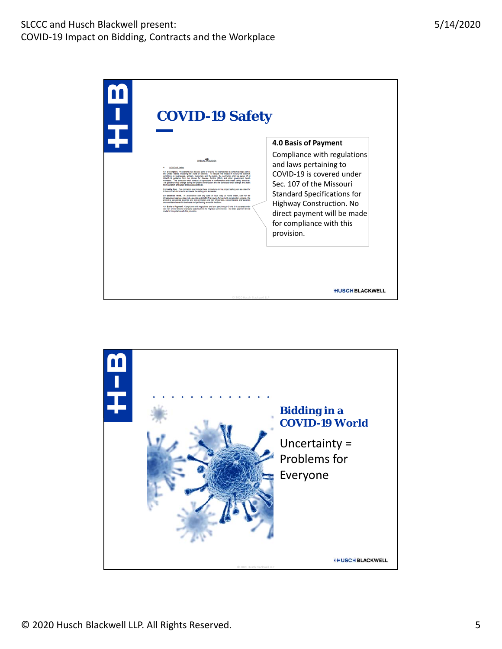| <b>COVID-19 Safety</b>                                                                                                                                                                                                                                                                                                                                                                                                                                                                                                                                                                                                                                                                                                                                                                                                                                                                                                                                                                                                                                                                                                                                                                                                                                                                                                                                                                                         |                                                                                                                                                                                                                                                           |
|----------------------------------------------------------------------------------------------------------------------------------------------------------------------------------------------------------------------------------------------------------------------------------------------------------------------------------------------------------------------------------------------------------------------------------------------------------------------------------------------------------------------------------------------------------------------------------------------------------------------------------------------------------------------------------------------------------------------------------------------------------------------------------------------------------------------------------------------------------------------------------------------------------------------------------------------------------------------------------------------------------------------------------------------------------------------------------------------------------------------------------------------------------------------------------------------------------------------------------------------------------------------------------------------------------------------------------------------------------------------------------------------------------------|-----------------------------------------------------------------------------------------------------------------------------------------------------------------------------------------------------------------------------------------------------------|
|                                                                                                                                                                                                                                                                                                                                                                                                                                                                                                                                                                                                                                                                                                                                                                                                                                                                                                                                                                                                                                                                                                                                                                                                                                                                                                                                                                                                                | 4.0 Basis of Payment                                                                                                                                                                                                                                      |
| 0010019-02001<br>1.6 Description. The corpnavirus disease 2019 or COVID-19 has reached a pandemic stage across<br>conditions on businesses, workers, customers and the public, the contractor shall be aware of all<br>COVID-13 guidance from the Center for Disease Control (CDC) and other government health.<br>manifates. The contractor shall conduct all coetations in conformance with these safety directives.<br>The guidance may change during the project construction and the contractor shall change and adapt<br>their operation and safety protocols accordingly.<br>2.0 Safety Plan. The contractor shall include these procedures in the project safety plan as called for<br>In the contract documents and revise the safety plan as needed.<br>5.0 Essential Work. In accordance with any state or local Stay at Home Order, care for the<br>Infrastructure has been deemed essentar and MoDOT is moving forward with construction projects. this<br>project is considered essential and the contractor and their employees, subcontractors and suppliers<br>are considered essential business and performing essential functions.<br>4.0 Basis of Payment. Compliance with regulations and laws pertaining to Covid 15 is covered under<br>Sec 107 of the Missouri Standard Specifications for Highway Construction. No direct payment will be<br>made for compliance with this provision. | Compliance with regulations<br>and laws pertaining to<br>COVID-19 is covered under<br>Sec. 107 of the Missouri<br><b>Standard Specifications for</b><br>Highway Construction. No<br>direct payment will be made<br>for compliance with this<br>provision. |
| C 2020 Husch Blackwell LLP                                                                                                                                                                                                                                                                                                                                                                                                                                                                                                                                                                                                                                                                                                                                                                                                                                                                                                                                                                                                                                                                                                                                                                                                                                                                                                                                                                                     | <b>HUSCHBLACKWELL</b>                                                                                                                                                                                                                                     |

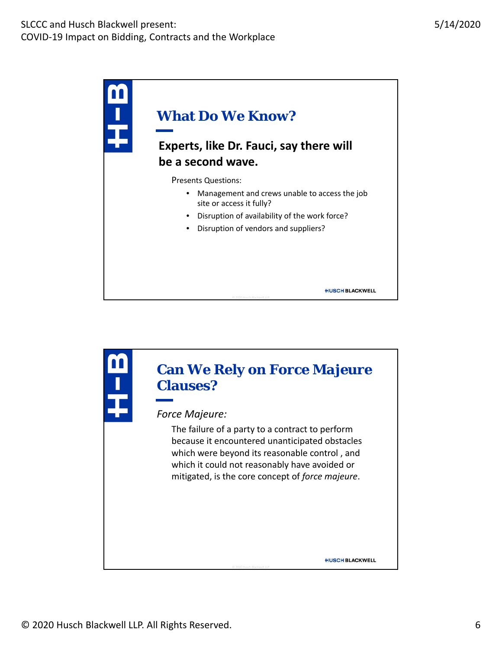

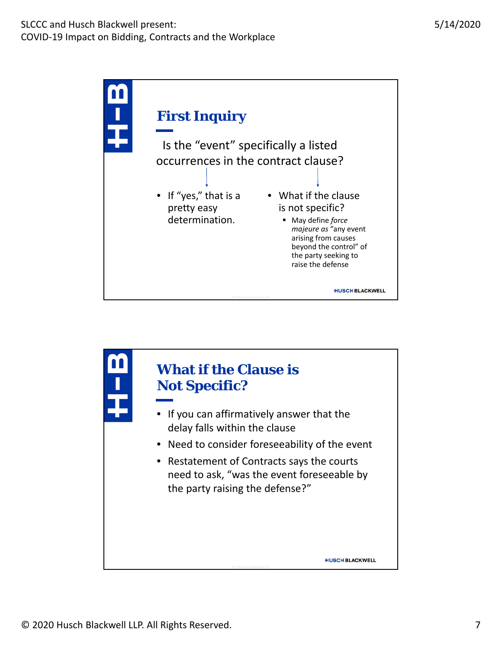

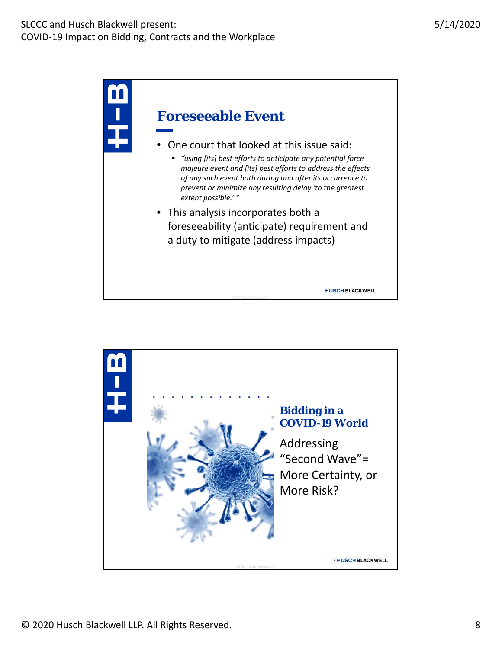

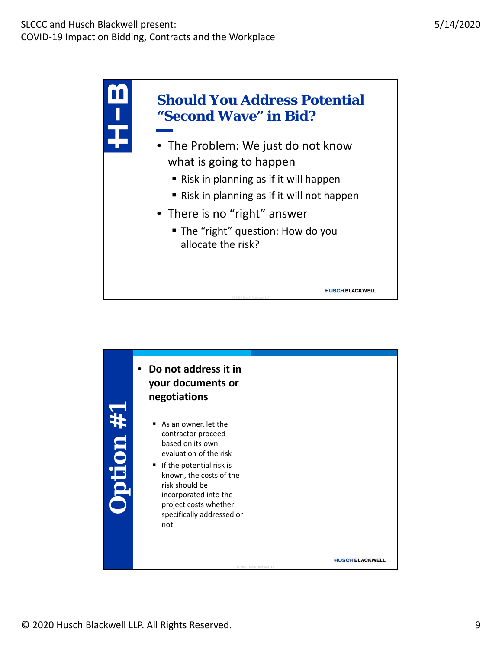

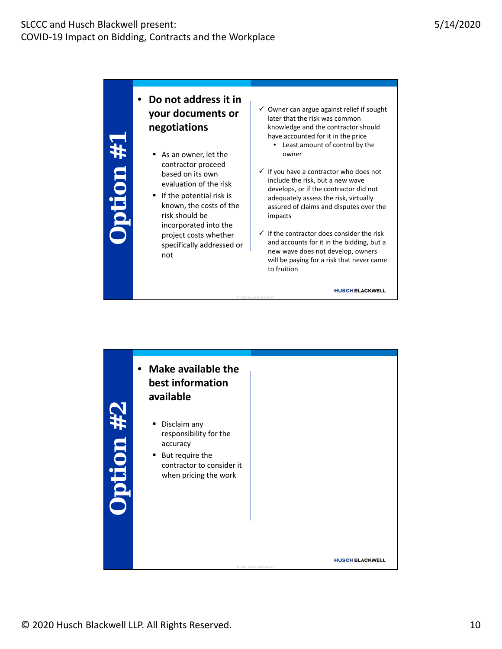**Option #1**

# uonglo

• **Do not address it in your documents or negotiations**

- As an owner, let the contractor proceed based on its own evaluation of the risk
- $\blacksquare$  If the potential risk is known, the costs of the risk should be incorporated into the project costs whether specifically addressed or not
- $\checkmark$  Owner can argue against relief if sought later that the risk was common knowledge and the contractor should have accounted for it in the price
	- Least amount of control by the owner
- $\checkmark$  If you have a contractor who does not include the risk, but a new wave develops, or if the contractor did not adequately assess the risk, virtually assured of claims and disputes over the impacts
- $\checkmark$  If the contractor does consider the risk and accounts for it in the bidding, but a new wave does not develop, owners will be paying for a risk that never came to fruition

**HUSCH BLACKWELL** 



© 201920 Husch Blackwell LLP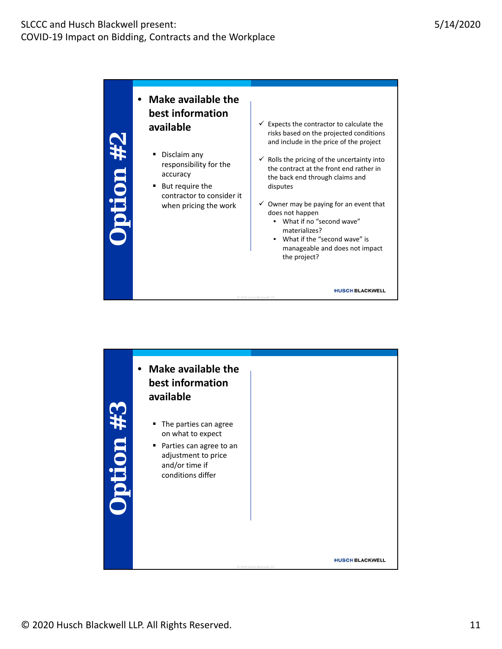• **Make available the best information**  $\checkmark$  Expects the contractor to calculate the **available** risks based on the projected conditions ption #2 **Option #2** and include in the price of the project Disclaim any  $\checkmark$  Rolls the pricing of the uncertainty into responsibility for the the contract at the front end rather in accuracy the back end through claims and disputes ■ But require the contractor to consider it  $\checkmark$  Owner may be paying for an event that when pricing the work does not happen • What if no "second wave" materializes? • What if the "second wave" is manageable and does not impact the project? **HUSCH BLACKWELL** 

© 201920 Husch Blackwell LLP

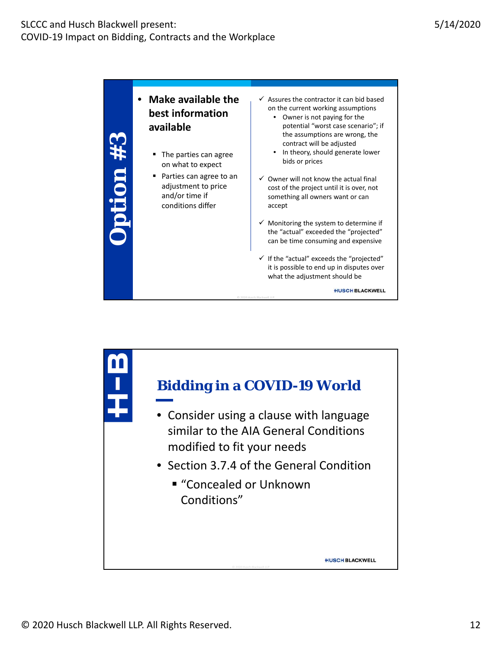

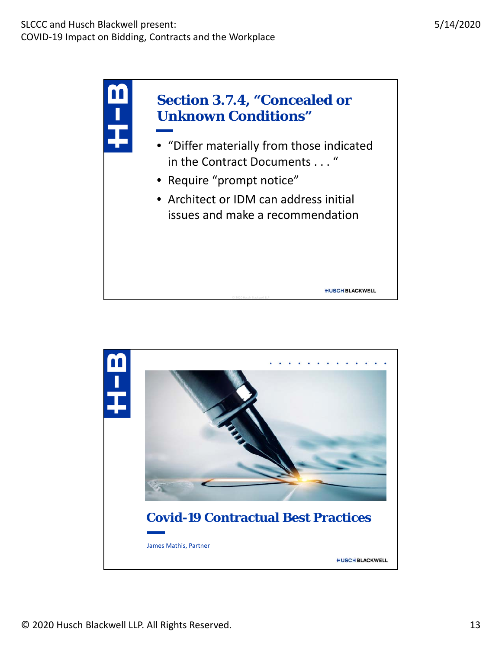

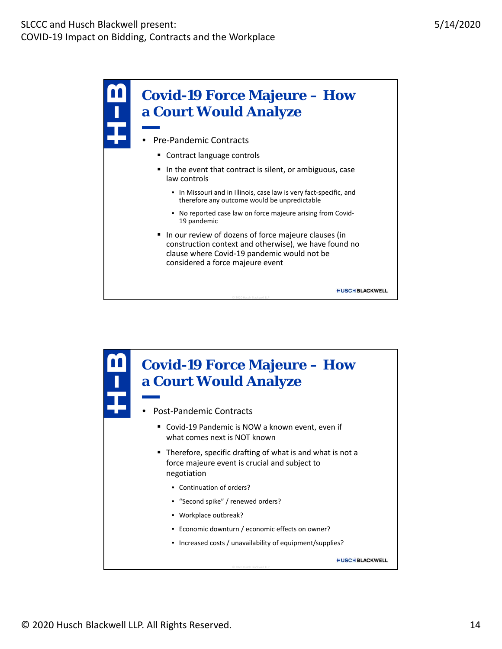

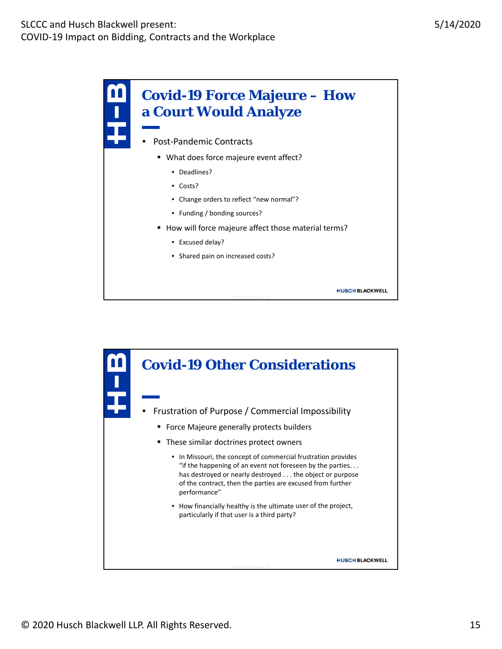

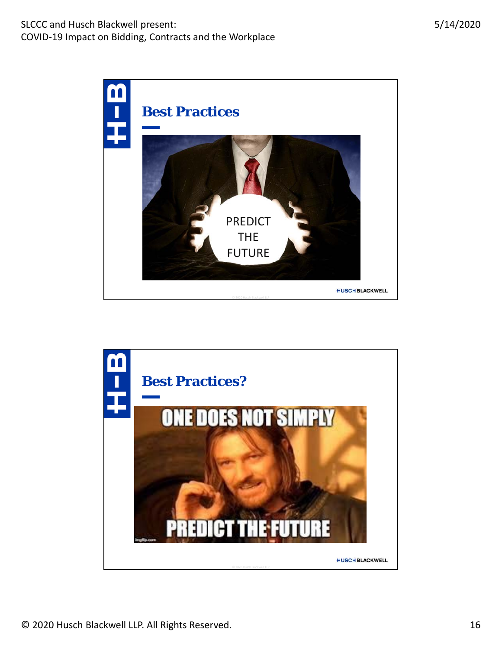

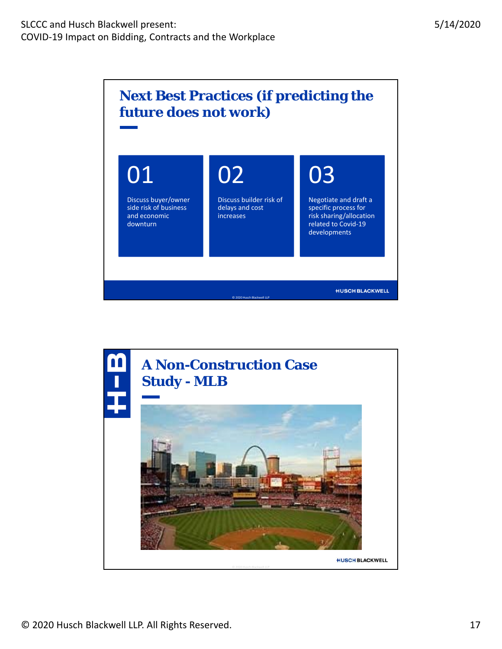

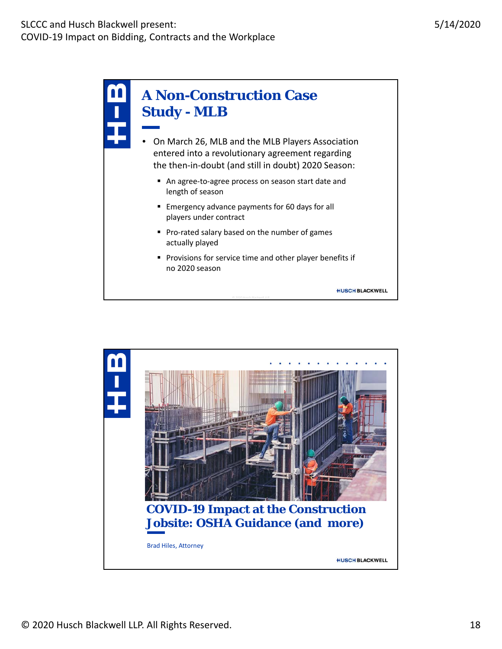

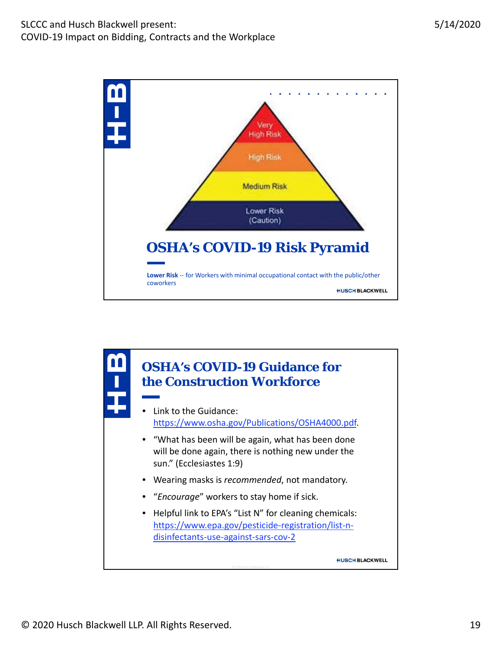

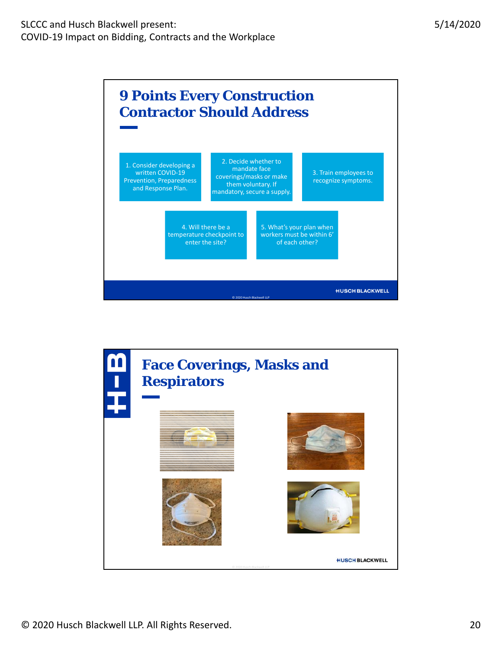

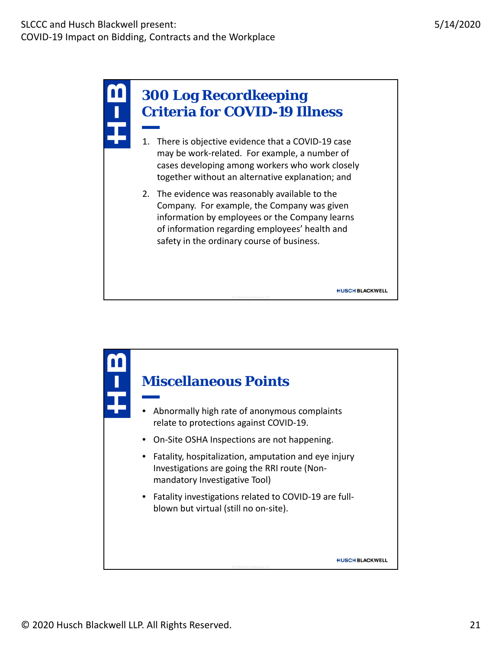

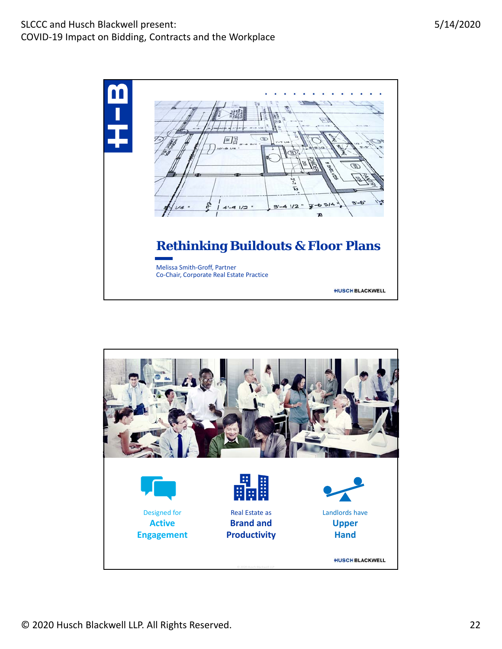



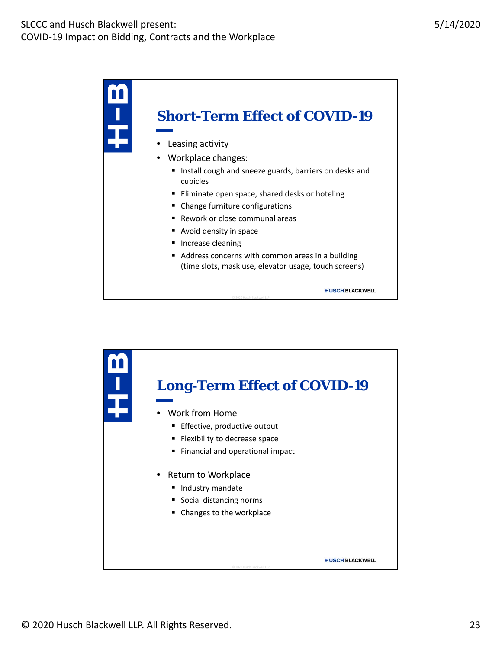

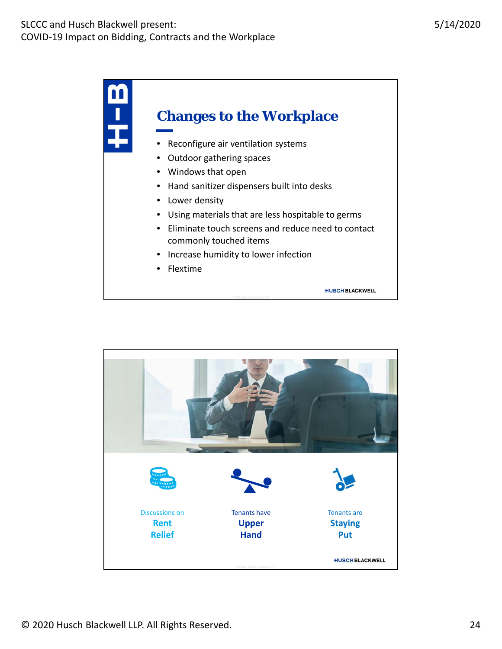

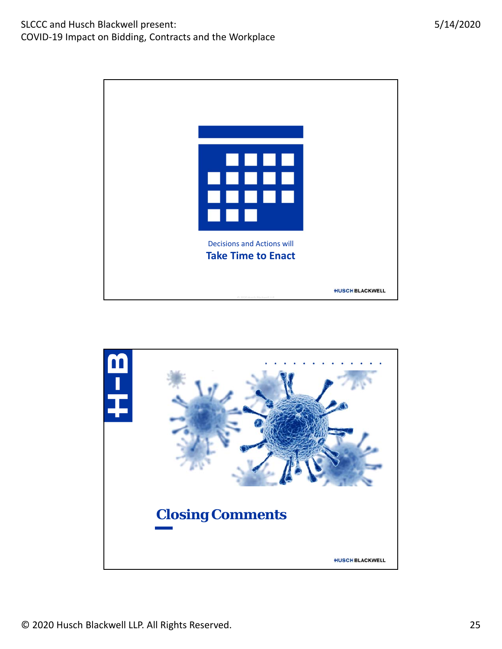